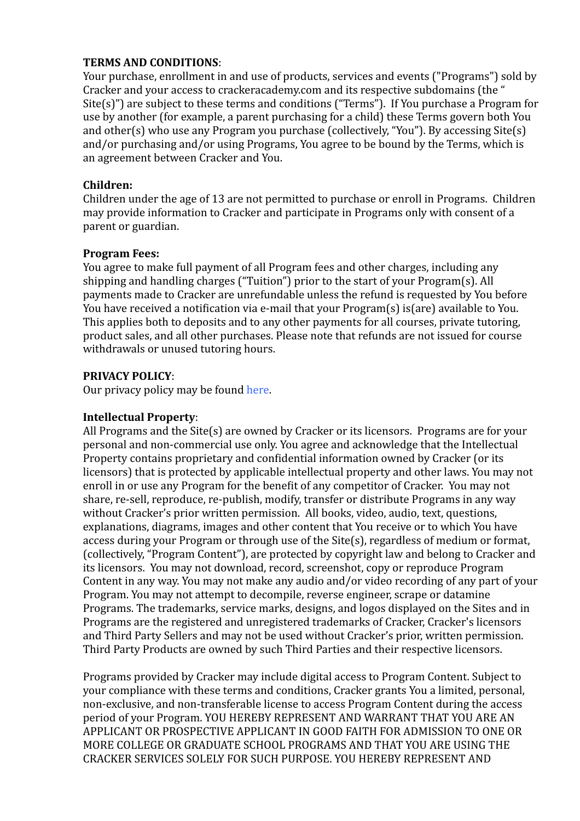#### **TERMS AND CONDITIONS**:

Your purchase, enrollment in and use of products, services and events ("Programs") sold by Cracker and your access to crackeracademy.com and its respective subdomains (the "  $Site(s)$ ") are subject to these terms and conditions ("Terms"). If You purchase a Program for use by another (for example, a parent purchasing for a child) these Terms govern both You and other(s) who use any Program you purchase (collectively, "You"). By accessing Site(s) and/or purchasing and/or using Programs, You agree to be bound by the Terms, which is an agreement between Cracker and You.

### **Children:**

Children under the age of 13 are not permitted to purchase or enroll in Programs. Children may provide information to Cracker and participate in Programs only with consent of a parent or guardian.

# **Program Fees:**

You agree to make full payment of all Program fees and other charges, including any shipping and handling charges ("Tuition") prior to the start of your  $Program(s)$ . All payments made to Cracker are unrefundable unless the refund is requested by You before You have received a notification via e-mail that your  $Program(s)$  is(are) available to You. This applies both to deposits and to any other payments for all courses, private tutoring, product sales, and all other purchases. Please note that refunds are not issued for course withdrawals or unused tutoring hours.

# **PRIVACY POLICY**:

Our privacy policy may be found here.

#### **Intellectual Property**:

All Programs and the Site(s) are owned by Cracker or its licensors. Programs are for your personal and non-commercial use only. You agree and acknowledge that the Intellectual Property contains proprietary and confidential information owned by Cracker (or its licensors) that is protected by applicable intellectual property and other laws. You may not enroll in or use any Program for the benefit of any competitor of Cracker. You may not share, re-sell, reproduce, re-publish, modify, transfer or distribute Programs in any way without Cracker's prior written permission. All books, video, audio, text, questions, explanations, diagrams, images and other content that You receive or to which You have access during vour Program or through use of the Site(s), regardless of medium or format, (collectively, "Program Content"), are protected by copyright law and belong to Cracker and its licensors. You may not download, record, screenshot, copy or reproduce Program Content in any way. You may not make any audio and/or video recording of any part of your Program. You may not attempt to decompile, reverse engineer, scrape or datamine Programs. The trademarks, service marks, designs, and logos displayed on the Sites and in Programs are the registered and unregistered trademarks of Cracker, Cracker's licensors and Third Party Sellers and may not be used without Cracker's prior, written permission. Third Party Products are owned by such Third Parties and their respective licensors.

Programs provided by Cracker may include digital access to Program Content. Subject to your compliance with these terms and conditions, Cracker grants You a limited, personal, non-exclusive, and non-transferable license to access Program Content during the access period of your Program. YOU HEREBY REPRESENT AND WARRANT THAT YOU ARE AN APPLICANT OR PROSPECTIVE APPLICANT IN GOOD FAITH FOR ADMISSION TO ONE OR MORE COLLEGE OR GRADUATE SCHOOL PROGRAMS AND THAT YOU ARE USING THE CRACKER SERVICES SOLELY FOR SUCH PURPOSE. YOU HEREBY REPRESENT AND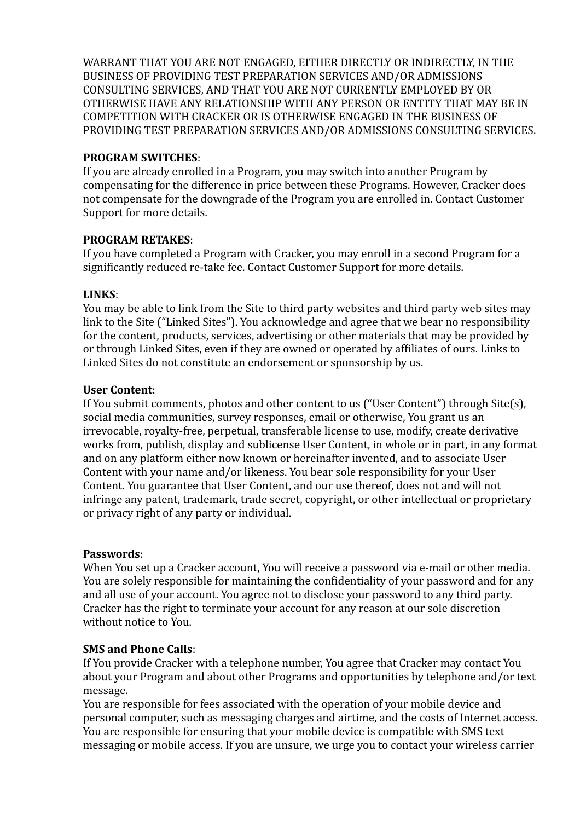WARRANT THAT YOU ARE NOT ENGAGED, EITHER DIRECTLY OR INDIRECTLY, IN THE BUSINESS OF PROVIDING TEST PREPARATION SERVICES AND/OR ADMISSIONS CONSULTING SERVICES, AND THAT YOU ARE NOT CURRENTLY EMPLOYED BY OR OTHERWISE HAVE ANY RELATIONSHIP WITH ANY PERSON OR ENTITY THAT MAY BE IN COMPETITION WITH CRACKER OR IS OTHERWISE ENGAGED IN THE BUSINESS OF PROVIDING TEST PREPARATION SERVICES AND/OR ADMISSIONS CONSULTING SERVICES.

#### **PROGRAM SWITCHES**:

If you are already enrolled in a Program, you may switch into another Program by compensating for the difference in price between these Programs. However, Cracker does not compensate for the downgrade of the Program you are enrolled in. Contact Customer Support for more details.

#### **PROGRAM RETAKES**:

If you have completed a Program with Cracker, you may enroll in a second Program for a significantly reduced re-take fee. Contact Customer Support for more details.

#### **LINKS**:

You may be able to link from the Site to third party websites and third party web sites may link to the Site ("Linked Sites"). You acknowledge and agree that we bear no responsibility for the content, products, services, advertising or other materials that may be provided by or through Linked Sites, even if they are owned or operated by affiliates of ours. Links to Linked Sites do not constitute an endorsement or sponsorship by us.

#### **User Content**:

If You submit comments, photos and other content to us ("User Content") through Site(s), social media communities, survey responses, email or otherwise, You grant us an irrevocable, royalty-free, perpetual, transferable license to use, modify, create derivative works from, publish, display and sublicense User Content, in whole or in part, in any format and on any platform either now known or hereinafter invented, and to associate User Content with your name and/or likeness. You bear sole responsibility for your User Content. You guarantee that User Content, and our use thereof, does not and will not infringe any patent, trademark, trade secret, copyright, or other intellectual or proprietary or privacy right of any party or individual.

#### **Passwords**:

When You set up a Cracker account, You will receive a password via e-mail or other media. You are solely responsible for maintaining the confidentiality of your password and for any and all use of your account. You agree not to disclose your password to any third party. Cracker has the right to terminate your account for any reason at our sole discretion without notice to You.

#### **SMS** and Phone Calls:

If You provide Cracker with a telephone number, You agree that Cracker may contact You about your Program and about other Programs and opportunities by telephone and/or text message. 

You are responsible for fees associated with the operation of your mobile device and personal computer, such as messaging charges and airtime, and the costs of Internet access. You are responsible for ensuring that your mobile device is compatible with SMS text messaging or mobile access. If you are unsure, we urge you to contact your wireless carrier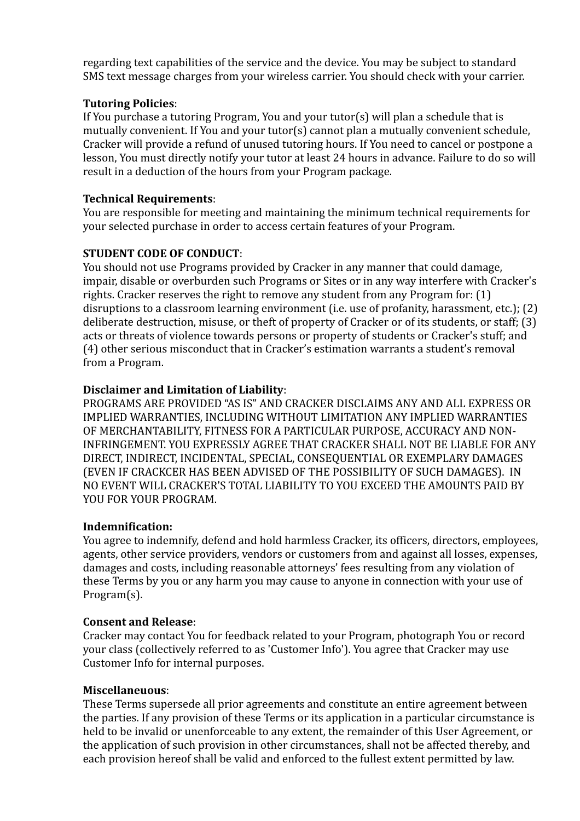regarding text capabilities of the service and the device. You may be subject to standard SMS text message charges from your wireless carrier. You should check with your carrier.

# **Tutoring Policies**:

If You purchase a tutoring Program, You and your tutor(s) will plan a schedule that is mutually convenient. If You and your tutor(s) cannot plan a mutually convenient schedule, Cracker will provide a refund of unused tutoring hours. If You need to cancel or postpone a lesson. You must directly notify your tutor at least 24 hours in advance. Failure to do so will result in a deduction of the hours from your Program package.

# **Technical Requirements**:

You are responsible for meeting and maintaining the minimum technical requirements for your selected purchase in order to access certain features of your Program.

# **STUDENT CODE OF CONDUCT:**

You should not use Programs provided by Cracker in any manner that could damage, impair, disable or overburden such Programs or Sites or in any way interfere with Cracker's rights. Cracker reserves the right to remove any student from any Program for:  $(1)$ disruptions to a classroom learning environment (i.e. use of profanity, harassment, etc.);  $(2)$ deliberate destruction, misuse, or theft of property of Cracker or of its students, or staff;  $(3)$ acts or threats of violence towards persons or property of students or Cracker's stuff; and (4) other serious misconduct that in Cracker's estimation warrants a student's removal from a Program.

# **Disclaimer and Limitation of Liability:**

PROGRAMS ARE PROVIDED "AS IS" AND CRACKER DISCLAIMS ANY AND ALL EXPRESS OR IMPLIED WARRANTIES, INCLUDING WITHOUT LIMITATION ANY IMPLIED WARRANTIES OF MERCHANTABILITY, FITNESS FOR A PARTICULAR PURPOSE, ACCURACY AND NON-INFRINGEMENT. YOU EXPRESSLY AGREE THAT CRACKER SHALL NOT BE LIABLE FOR ANY DIRECT, INDIRECT, INCIDENTAL, SPECIAL, CONSEQUENTIAL OR EXEMPLARY DAMAGES (EVEN IF CRACKCER HAS BEEN ADVISED OF THE POSSIBILITY OF SUCH DAMAGES). IN NO EVENT WILL CRACKER'S TOTAL LIABILITY TO YOU EXCEED THE AMOUNTS PAID BY YOU FOR YOUR PROGRAM.

#### **Indemnification:**

You agree to indemnify, defend and hold harmless Cracker, its officers, directors, employees, agents, other service providers, vendors or customers from and against all losses, expenses, damages and costs, including reasonable attorneys' fees resulting from any violation of these Terms by you or any harm you may cause to anyone in connection with your use of Program(s).

#### **Consent and Release:**

Cracker may contact You for feedback related to your Program, photograph You or record your class (collectively referred to as 'Customer Info'). You agree that Cracker may use Customer Info for internal purposes.

#### **Miscellaneuous**:

These Terms supersede all prior agreements and constitute an entire agreement between the parties. If any provision of these Terms or its application in a particular circumstance is held to be invalid or unenforceable to any extent, the remainder of this User Agreement, or the application of such provision in other circumstances, shall not be affected thereby, and each provision hereof shall be valid and enforced to the fullest extent permitted by law.